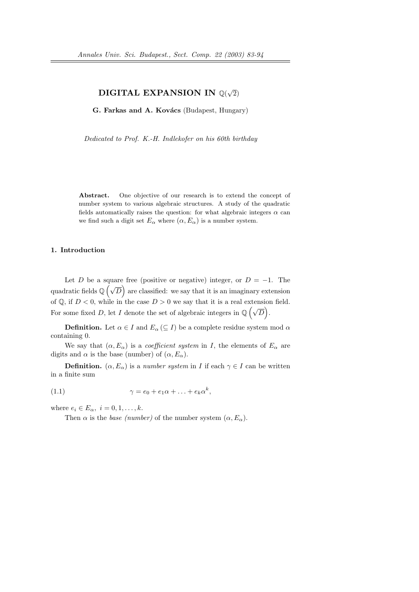#### DIGITAL EXPANSION IN  $\mathbb{Q}(\sqrt{2})$ 2)

G. Farkas and A. Kovács (Budapest, Hungary)

Dedicated to Prof. K.-H. Indlekofer on his 60th birthday

Abstract. One objective of our research is to extend the concept of number system to various algebraic structures. A study of the quadratic fields automatically raises the question: for what algebraic integers  $\alpha$  can we find such a digit set  $E_{\alpha}$  where  $(\alpha, E_{\alpha})$  is a number system.

## 1. Introduction

Let D be a square free (positive or negative) integer, or  $D = -1$ . The quadratic fields  $\mathbb{Q}(\sqrt{D})$  are classified: we say that it is an imaginary extension of Q, if  $D < 0$ , while in the case  $D > 0$  we say that it is a real extension field. For some fixed D, let I denote the set of algebraic integers in  $\mathbb{Q}(\sqrt{D})$ .

**Definition.** Let  $\alpha \in I$  and  $E_{\alpha} \subseteq I$  be a complete residue system mod  $\alpha$ containing 0.

We say that  $(\alpha, E_{\alpha})$  is a *coefficient system* in I, the elements of  $E_{\alpha}$  are digits and  $\alpha$  is the base (number) of  $(\alpha, E_{\alpha})$ .

**Definition.**  $(\alpha, E_{\alpha})$  is a *number system* in *I* if each  $\gamma \in I$  can be written in a finite sum

(1.1) 
$$
\gamma = e_0 + e_1 \alpha + \ldots + e_k \alpha^k,
$$

where  $e_i \in E_\alpha$ ,  $i = 0, 1, \ldots, k$ .

Then  $\alpha$  is the *base (number)* of the number system  $(\alpha, E_{\alpha})$ .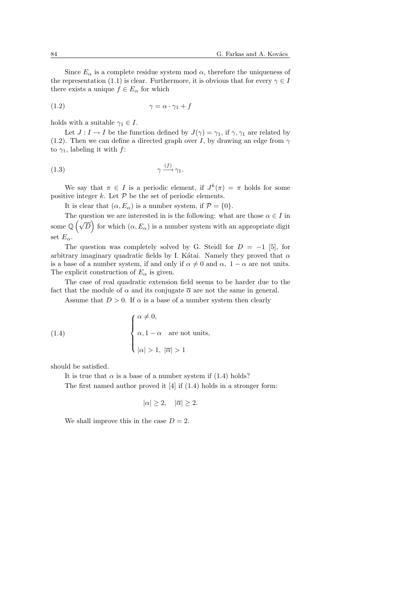Since  $E_{\alpha}$  is a complete residue system mod  $\alpha$ , therefore the uniqueness of the representation (1.1) is clear. Furthermore, it is obvious that for every  $\gamma \in I$ there exists a unique  $f \in E_{\alpha}$  for which

$$
\gamma = \alpha \cdot \gamma_1 + f
$$

holds with a suitable  $\gamma_1 \in I$ .

Let  $J: I \to I$  be the function defined by  $J(\gamma) = \gamma_1$ , if  $\gamma, \gamma_1$  are related by (1.2). Then we can define a directed graph over I, by drawing an edge from  $\gamma$ to  $\gamma_1$ , labeling it with f:

$$
\gamma \xrightarrow{(f)} \gamma_1.
$$

We say that  $\pi \in I$  is a periodic element, if  $J^k(\pi) = \pi$  holds for some positive integer  $k$ . Let  $P$  be the set of periodic elements.

It is clear that  $(\alpha, E_{\alpha})$  is a number system, if  $\mathcal{P} = \{0\}.$ 

The question we are interested in is the following: what are those  $\alpha \in I$  in some  $\mathbb{Q}(\sqrt{D})$  for which  $(\alpha, E_{\alpha})$  is a number system with an appropriate digit set  $E_{\alpha}$ .

The question was completely solved by G. Steidl for  $D = -1$  [5], for arbitrary imaginary quadratic fields by I. Kátai. Namely they proved that  $\alpha$ is a base of a number system, if and only if  $\alpha \neq 0$  and  $\alpha$ ,  $1 - \alpha$  are not units. The explicit construction of  $E_{\alpha}$  is given.

The case of real quadratic extension field seems to be harder due to the fact that the module of  $\alpha$  and its conjugate  $\overline{\alpha}$  are not the same in general.

Assume that  $D > 0$ . If  $\alpha$  is a base of a number system then clearly

(1.4) 
$$
\begin{cases} \alpha \neq 0, \\ \alpha, 1 - \alpha \quad \text{are not units,} \\ |\alpha| > 1, |\overline{\alpha}| > 1 \end{cases}
$$

should be satisfied.

It is true that  $\alpha$  is a base of a number system if (1.4) holds? The first named author proved it [4] if (1.4) holds in a stronger form:

$$
|\alpha| \ge 2, \quad |\overline{\alpha}| \ge 2.
$$

We shall improve this in the case  $D = 2$ .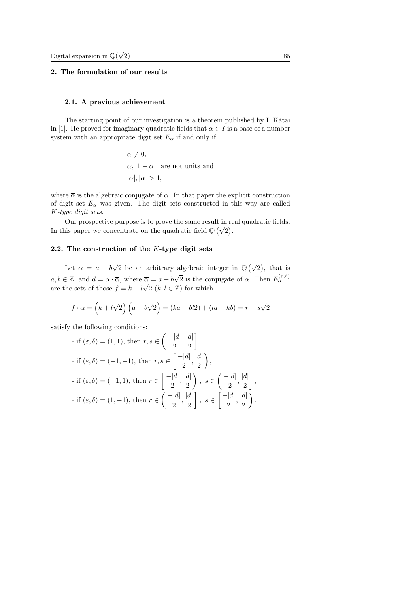# 2. The formulation of our results

## 2.1. A previous achievement

The starting point of our investigation is a theorem published by I. Kátai in [1]. He proved for imaginary quadratic fields that  $\alpha \in I$  is a base of a number system with an appropriate digit set  $E_{\alpha}$  if and only if

> $\alpha \neq 0$ .  $\alpha$ , 1 –  $\alpha$  are not units and  $|\alpha|, |\overline{\alpha}| > 1,$

where  $\bar{\alpha}$  is the algebraic conjugate of  $\alpha$ . In that paper the explicit construction of digit set  $E_{\alpha}$  was given. The digit sets constructed in this way are called K-type digit sets.

Our prospective purpose is to prove the same result in real quadratic fields. In this paper we concentrate on the quadratic field  $\mathbb{Q}(\sqrt{2})$ .

# 2.2. The construction of the K-type digit sets

Let  $\alpha = a + b$ √ 2 be an arbitrary algebraic integer in Q ¡√ 2 ¢ , that is  $a, b \in \mathbb{Z}$ , and  $d = \alpha \cdot \overline{\alpha}$ , where  $\overline{\alpha} = a - b$ √  $\overline{\alpha} = a - b\sqrt{2}$  is the conjugate of  $\alpha$ . Then  $E_{\alpha}^{(\varepsilon,\delta)}$ are the sets of those  $f = k + l\sqrt{2}$   $(k, l \in \mathbb{Z})$  for which

$$
f \cdot \overline{\alpha} = (k + l\sqrt{2})(a - b\sqrt{2}) = (ka - bl2) + (la - kb) = r + s\sqrt{2}
$$

satisfy the following conditions:

$$
\begin{aligned}\n\text{If } (\varepsilon, \delta) = (1, 1), \text{ then } r, s \in \left( \frac{-|d|}{2}, \frac{|d|}{2} \right], \\
\text{- if } (\varepsilon, \delta) = (-1, -1), \text{ then } r, s \in \left[ \frac{-|d|}{2}, \frac{|d|}{2} \right), \\
\text{- if } (\varepsilon, \delta) = (-1, 1), \text{ then } r \in \left[ \frac{-|d|}{2}, \frac{|d|}{2} \right), \quad s \in \left( \frac{-|d|}{2}, \frac{|d|}{2} \right], \\
\text{- if } (\varepsilon, \delta) = (1, -1), \text{ then } r \in \left( \frac{-|d|}{2}, \frac{|d|}{2} \right], \quad s \in \left[ \frac{-|d|}{2}, \frac{|d|}{2} \right).\n\end{aligned}
$$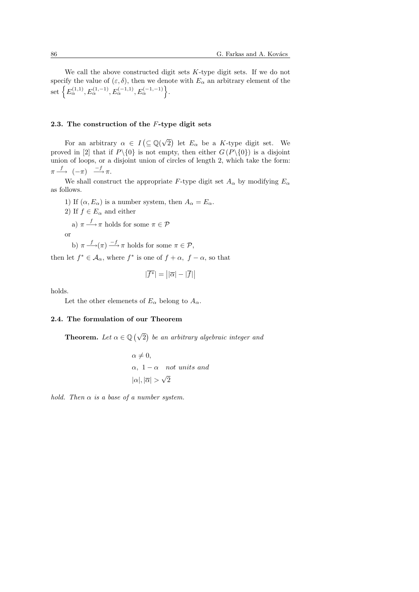We call the above constructed digit sets K-type digit sets. If we do not specify the value of  $(\varepsilon, \delta)$ , then we denote with  $E_{\alpha}$  an arbitrary element of the specify the value of  $(\varepsilon, 0)$ , then we denote u: .

#### 2.3. The construction of the F-type digit sets

For an arbitrary  $\alpha \in I$ ¡ ⊆ Q( √  $\overline{2}$ ¢ let  $E_{\alpha}$  be a K-type digit set. We proved in [2] that if  $P \setminus \{0\}$  is not empty, then either  $G(P \setminus \{0\})$  is a disjoint union of loops, or a disjoint union of circles of length 2, which take the form:  $\pi \stackrel{f}{\longrightarrow} (-\pi) \stackrel{-f}{\longrightarrow} \pi.$ 

We shall construct the appropriate F-type digit set  $A_{\alpha}$  by modifying  $E_{\alpha}$ as follows.

1) If  $(\alpha, E_{\alpha})$  is a number system, then  $A_{\alpha} = E_{\alpha}$ .

2) If  $f \in E_{\alpha}$  and either

a)  $\pi \stackrel{f}{\longrightarrow} \pi$  holds for some  $\pi \in \mathcal{P}$ 

or

b)  $\pi \stackrel{f}{\longrightarrow} (\pi) \stackrel{-f}{\longrightarrow} \pi$  holds for some  $\pi \in \mathcal{P}$ ,

then let  $f^* \in \mathcal{A}_{\alpha}$ , where  $f^*$  is one of  $f + \alpha$ ,  $f - \alpha$ , so that

$$
|\overline{f^*}| = \big||\overline{\alpha}| - |\overline{f}|\big|
$$

holds.

Let the other elemenets of  $E_{\alpha}$  belong to  $A_{\alpha}$ .

# 2.4. The formulation of our Theorem

Theorem. Let  $\alpha \in \mathbb{Q}$ ¡√  $\overline{2}$ ¢ be an arbitrary algebraic integer and

$$
\alpha \neq 0,
$$
  
\n
$$
\alpha, \ 1 - \alpha \quad not \ units \ and
$$
  
\n
$$
|\alpha|, |\overline{\alpha}| > \sqrt{2}
$$

hold. Then  $\alpha$  is a base of a number system.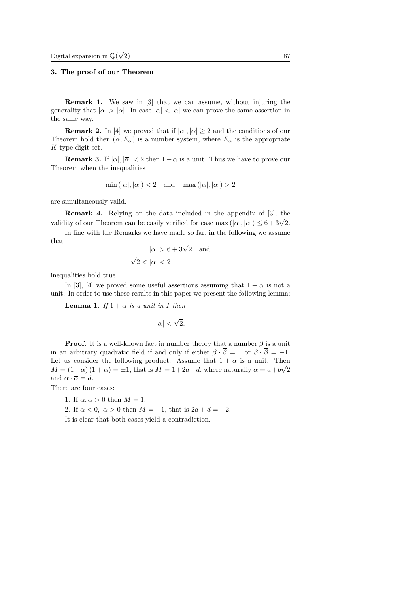## 3. The proof of our Theorem

Remark 1. We saw in [3] that we can assume, without injuring the generality that  $|\alpha| > |\overline{\alpha}|$ . In case  $|\alpha| < |\overline{\alpha}|$  we can prove the same assertion in the same way.

**Remark 2.** In [4] we proved that if  $|\alpha|, |\overline{\alpha}| > 2$  and the conditions of our Theorem hold then  $(\alpha, E_{\alpha})$  is a number system, where  $E_{\alpha}$  is the appropriate K-type digit set.

**Remark 3.** If  $|\alpha|, |\overline{\alpha}| < 2$  then  $1 - \alpha$  is a unit. Thus we have to prove our Theorem when the inequalities

$$
\min(|\alpha|, |\overline{\alpha}|) < 2
$$
 and  $\max(|\alpha|, |\overline{\alpha}|) > 2$ 

are simultaneously valid.

Remark 4. Relying on the data included in the appendix of [3], the **Validity** of our Theorem can be easily verified for case max  $(|\alpha|, |\overline{\alpha}|) \leq 6 + 3\sqrt{2}$ .

In line with the Remarks we have made so far, in the following we assume that

$$
|\alpha| > 6 + 3\sqrt{2} \quad \text{and} \quad \sqrt{2} < |\overline{\alpha}| < 2
$$

inequalities hold true.

In [3], [4] we proved some useful assertions assuming that  $1 + \alpha$  is not a unit. In order to use these results in this paper we present the following lemma:

**Lemma 1.** If  $1 + \alpha$  is a unit in I then

$$
|\overline{\alpha}| < \sqrt{2}.
$$

**Proof.** It is a well-known fact in number theory that a number  $\beta$  is a unit in an arbitrary quadratic field if and only if either  $\beta \cdot \overline{\beta} = 1$  or  $\beta \cdot \overline{\beta} = -1$ . Let us consider the following product. Assume that  $1 + \alpha$  is a unit. Then  $M = (1+\alpha)(1+\overline{\alpha}) = \pm 1$ , that is  $M = 1+2a+d$ , where naturally  $\alpha = a+b\sqrt{2}$ and  $\alpha \cdot \overline{\alpha} = d$ .

There are four cases:

- 1. If  $\alpha, \overline{\alpha} > 0$  then  $M = 1$ .
- 2. If  $\alpha < 0$ ,  $\overline{\alpha} > 0$  then  $M = -1$ , that is  $2a + d = -2$ .

It is clear that both cases yield a contradiction.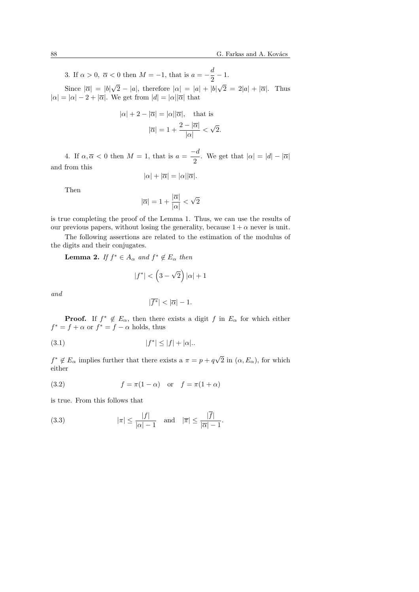3. If  $\alpha > 0$ ,  $\overline{\alpha} < 0$  then  $M = -1$ , that is  $a = -\frac{d}{\alpha}$  $\frac{a}{2} - 1.$ √ √

Since  $|\overline{\alpha}| = |b|$  $2-|a|$ , therefore  $|\alpha|=|a|+|b|$  $2 = 2|a| + |\overline{\alpha}|.$  Thus  $|\alpha| = |\alpha| - 2 + |\overline{\alpha}|$ . We get from  $|d| = |\alpha||\overline{\alpha}|$  that

$$
|\alpha| + 2 - |\overline{\alpha}| = |\alpha||\overline{\alpha}|, \text{ that is}
$$

$$
|\overline{\alpha}| = 1 + \frac{2 - |\overline{\alpha}|}{|\alpha|} < \sqrt{2}.
$$

4. If  $\alpha, \overline{\alpha} < 0$  then  $M = 1$ , that is  $a = \frac{-d}{2}$  $\frac{\alpha}{2}$ . We get that  $|\alpha| = |d| - |\overline{\alpha}|$ and from this

$$
|\alpha| + |\overline{\alpha}| = |\alpha||\overline{\alpha}|.
$$

Then

$$
|\overline{\alpha}|=1+\frac{|\overline{\alpha}|}{|\alpha|}<\sqrt{2}
$$

is true completing the proof of the Lemma 1. Thus, we can use the results of our previous papers, without losing the generality, because  $1 + \alpha$  never is unit.

The following assertions are related to the estimation of the modulus of the digits and their conjugates.

**Lemma 2.** If  $f^* \in A_\alpha$  and  $f^* \notin E_\alpha$  then

$$
|f^*| < \left(3 - \sqrt{2}\right)|\alpha| + 1
$$

and

$$
|\overline{f^*}| < |\overline{\alpha}| - 1.
$$

**Proof.** If  $f^* \notin E_\alpha$ , then there exists a digit f in  $E_\alpha$  for which either  $f^* = f + \alpha$  or  $f^* = f - \alpha$  holds, thus

(3.1) 
$$
|f^*| \le |f| + |\alpha|.
$$

 $f^* \notin E_\alpha$  implies further that there exists a  $\pi = p + q\sqrt{ }$ 2 in  $(\alpha, E_{\alpha})$ , for which either

(3.2) 
$$
f = \pi(1 - \alpha) \quad \text{or} \quad f = \pi(1 + \alpha)
$$

is true. From this follows that

(3.3) 
$$
|\pi| \le \frac{|f|}{|\alpha| - 1} \quad \text{and} \quad |\overline{\pi}| \le \frac{|\overline{f}|}{|\overline{\alpha}| - 1}.
$$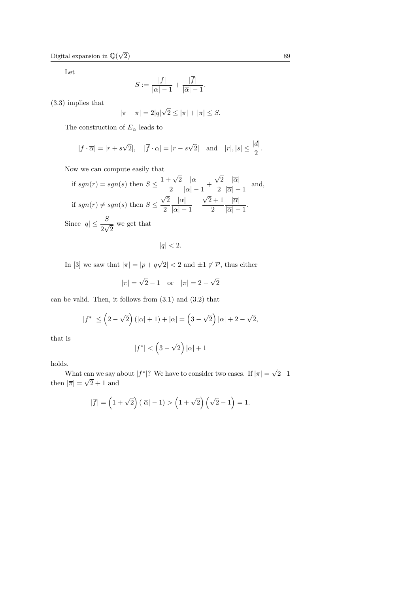Let

$$
S := \frac{|f|}{|\alpha| - 1} + \frac{|\overline{f}|}{|\overline{\alpha}| - 1}.
$$

(3.3) implies that

$$
|\pi - \overline{\pi}| = 2|q|\sqrt{2} \le |\pi| + |\overline{\pi}| \le S.
$$

The construction of  $E_{\alpha}$  leads to

$$
|f \cdot \overline{\alpha}| = |r + s\sqrt{2}|, \quad |\overline{f} \cdot \alpha| = |r - s\sqrt{2}| \text{ and } |r|, |s| \le \frac{|d|}{2}.
$$

Now we can compute easily that

if 
$$
sgn(r) = sgn(s)
$$
 then  $S \le \frac{1 + \sqrt{2}}{2} \frac{|\alpha|}{|\alpha| - 1} + \frac{\sqrt{2}}{2} \frac{|\overline{\alpha}|}{|\overline{\alpha}| - 1}$  and,  
if  $sgn(r) \ne sgn(s)$  then  $S \le \frac{\sqrt{2}}{2} \frac{|\alpha|}{|\alpha| - 1} + \frac{\sqrt{2} + 1}{2} \frac{|\overline{\alpha}|}{|\overline{\alpha}| - 1}$ .  
Since  $|q| \le \frac{S}{2\sqrt{2}}$  we get that

 $|q| < 2.$ 

In [3] we saw that  $|\pi| = |p + q|$ √  $|2| < 2$  and  $\pm 1 \notin \mathcal{P}$ , thus either

$$
|\pi| = \sqrt{2} - 1
$$
 or  $|\pi| = 2 - \sqrt{2}$ 

can be valid. Then, it follows from  $(3.1)$  and  $(3.2)$  that

$$
|f^*| \le (2 - \sqrt{2})(|\alpha| + 1) + |\alpha| = (3 - \sqrt{2}) |\alpha| + 2 - \sqrt{2},
$$

that is

$$
|f^*| < \left(3 - \sqrt{2}\right)|\alpha| + 1
$$

holds.

What can we say about  $|\overline{f^*}|$ ? We have to consider two cases. If  $|\pi| = \sqrt{\frac{2}{\pi}}$ 2−1 then  $|\overline{\pi}| =$ √  $2 + 1$  and

$$
|\overline{f}| = \left(1 + \sqrt{2}\right)(|\overline{\alpha}| - 1) > \left(1 + \sqrt{2}\right)\left(\sqrt{2} - 1\right) = 1.
$$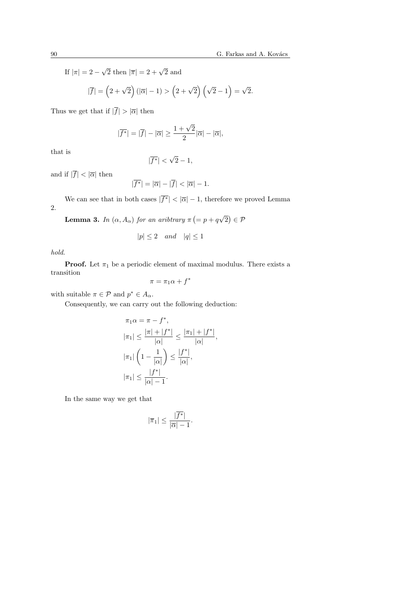If  $|\pi| = 2 \sqrt{2}$  then  $|\overline{\pi}| = 2 + \sqrt{2}$  and

$$
|\overline{f}| = \left(2 + \sqrt{2}\right)(|\overline{\alpha}| - 1) > \left(2 + \sqrt{2}\right)\left(\sqrt{2} - 1\right) = \sqrt{2}.
$$

Thus we get that if  $|\overline{f}| > |\overline{\alpha}|$  then

$$
|\overline{f^*}| = |\overline{f}| - |\overline{\alpha}| \ge \frac{1+\sqrt{2}}{2} |\overline{\alpha}| - |\overline{\alpha}|,
$$

that is

$$
|\overline{f^*}| < \sqrt{2} - 1,
$$

and if  $|\overline{f}| < |\overline{\alpha}|$  then

$$
|\overline{f^*}| = |\overline{\alpha}| - |\overline{f}| < |\overline{\alpha}| - 1.
$$

We can see that in both cases  $|\overline{f^*}| < |\overline{\alpha}| - 1$ , therefore we proved Lemma 2. ¡ √ ¢

**Lemma 3.** In  $(\alpha, A_{\alpha})$  for an aribtrary  $\pi$  $= p + q$  $\overline{c}$  $\in \mathcal{P}$ 

$$
|p| \le 2 \quad and \quad |q| \le 1
$$

hold.

**Proof.** Let  $\pi_1$  be a periodic element of maximal modulus. There exists a transition

$$
\pi = \pi_1 \alpha + f^*
$$

with suitable  $\pi \in \mathcal{P}$  and  $p^* \in A_\alpha$ .

Consequently, we can carry out the following deduction:

$$
\pi_1 \alpha = \pi - f^*,
$$
  
\n
$$
|\pi_1| \leq \frac{|\pi| + |f^*|}{|\alpha|} \leq \frac{|\pi_1| + |f^*|}{|\alpha|},
$$
  
\n
$$
|\pi_1| \left(1 - \frac{1}{|\alpha|}\right) \leq \frac{|f^*|}{|\alpha|},
$$
  
\n
$$
|\pi_1| \leq \frac{|f^*|}{|\alpha| - 1}.
$$

In the same way we get that

$$
|\overline{\pi}_1| \le \frac{|\overline{f^*}|}{|\overline{\alpha}| - 1}.
$$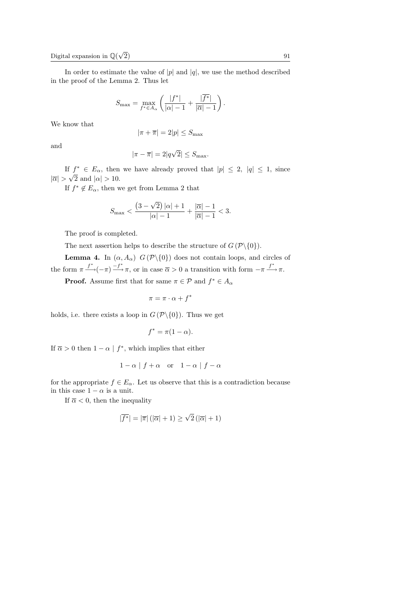In order to estimate the value of  $|p|$  and  $|q|$ , we use the method described in the proof of the Lemma 2. Thus let

$$
S_{\max} = \max_{f^* \in A_\alpha} \left( \frac{|f^*|}{|\alpha| - 1} + \frac{|\overline{f^*}|}{|\overline{\alpha}| - 1} \right).
$$

We know that

$$
|\pi+\overline{\pi}|=2|p|\leq S_{\max}
$$

and

$$
|\pi - \overline{\pi}| = 2|q\sqrt{2}| \leq S_{\text{max}}.
$$

If  $f^* \in E_\alpha$ , then we have already proved that  $|p| \leq 2$ ,  $|q| \leq 1$ , since  $|\overline{\alpha}| > \sqrt{2}$  and  $|\alpha| > 10$ .

If  $f^* \notin E_\alpha$ , then we get from Lemma 2 that

$$
S_{\max} < \frac{\left(3-\sqrt{2}\right)|\alpha|+1}{|\alpha|-1} + \frac{|\overline{\alpha}|-1}{|\overline{\alpha}|-1} < 3.
$$

The proof is completed.

The next assertion helps to describe the structure of  $G(\mathcal{P}\backslash\{0\})$ .

**Lemma 4.** In  $(\alpha, A_{\alpha})$   $G(\mathcal{P}\setminus\{0\})$  does not contain loops, and circles of the form  $\pi \stackrel{f^*}{\longrightarrow} (-\pi) \stackrel{-f^*}{\longrightarrow} \pi$ , or in case  $\overline{\alpha} > 0$  a transition with form  $-\pi \stackrel{f^*}{\longrightarrow} \pi$ .

**Proof.** Assume first that for same  $\pi \in \mathcal{P}$  and  $f^* \in A_\alpha$ 

$$
\pi = \pi \cdot \alpha + f^*
$$

holds, i.e. there exists a loop in  $G(\mathcal{P}\backslash\{0\})$ . Thus we get

$$
f^* = \pi(1 - \alpha).
$$

If  $\overline{\alpha} > 0$  then  $1 - \alpha \mid f^*$ , which implies that either

$$
1-\alpha
$$
 |  $f+\alpha$  or  $1-\alpha$  |  $f-\alpha$ 

for the appropriate  $f \in E_{\alpha}$ . Let us observe that this is a contradiction because in this case  $1 - \alpha$  is a unit.

If  $\overline{\alpha}$  < 0, then the inequality

$$
|\overline{f^*}| = |\overline{\pi}| (|\overline{\alpha}| + 1) \ge \sqrt{2} (|\overline{\alpha}| + 1)
$$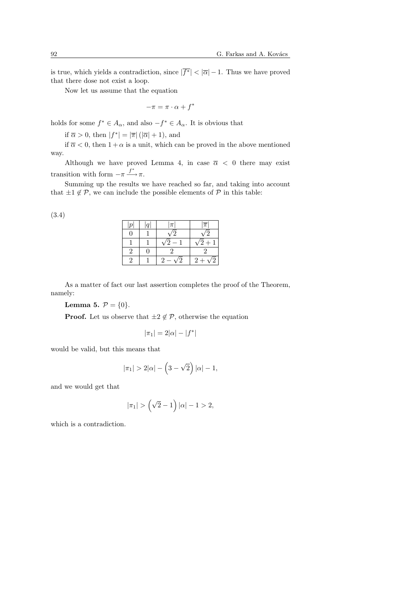is true, which yields a contradiction, since  $|\overline{f^*}| < |\overline{\alpha}| - 1$ . Thus we have proved that there dose not exist a loop.

Now let us assume that the equation

$$
-\pi = \pi \cdot \alpha + f^*
$$

holds for some  $f^* \in A_\alpha$ , and also  $-f^* \in A_\alpha$ . It is obvious that

if  $\overline{\alpha} > 0$ , then  $|f^*| = |\overline{\pi}| (|\overline{\alpha}| + 1)$ , and

if  $\overline{\alpha}$  < 0, then  $1+\alpha$  is a unit, which can be proved in the above mentioned way.

Although we have proved Lemma 4, in case  $\bar{\alpha}$  < 0 there may exist transition with form  $-\pi \xrightarrow{f^*} \pi$ .

Summing up the results we have reached so far, and taking into account that  $\pm 1 \notin \mathcal{P}$ , we can include the possible elements of  $\mathcal{P}$  in this table:

| $\boldsymbol{r}$ | $\alpha$ | π                        | $\overline{\pi}$ |
|------------------|----------|--------------------------|------------------|
|                  |          |                          |                  |
|                  |          | $\overline{\phantom{0}}$ | $\sqrt{2}+1$     |
|                  |          |                          |                  |
|                  |          |                          | $2+\sqrt{ }$     |

As a matter of fact our last assertion completes the proof of the Theorem, namely:

Lemma 5.  $\mathcal{P} = \{0\}.$ 

**Proof.** Let us observe that  $\pm 2 \notin \mathcal{P}$ , otherwise the equation

$$
|\pi_1| = 2|\alpha| - |f^*|
$$

would be valid, but this means that

$$
|\pi_1| > 2|\alpha| - \left(3 - \sqrt{2}\right)|\alpha| - 1,
$$

and we would get that

$$
|\pi_1| > (\sqrt{2} - 1) |\alpha| - 1 > 2,
$$

which is a contradiction.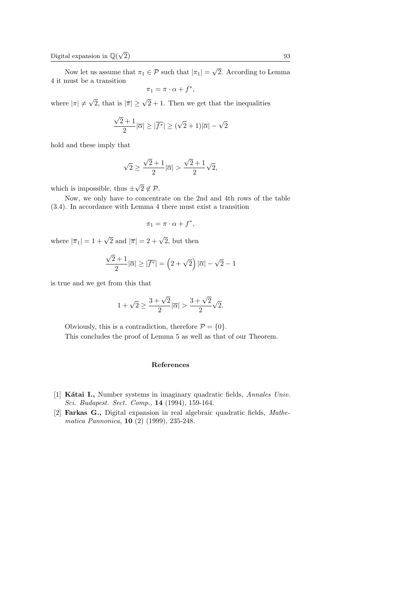Now let us assume that  $\pi_1 \in \mathcal{P}$  such that  $|\pi_1|$  = √ 2. According to Lemma 4 it must be a transition

$$
\pi_1 = \pi \cdot \alpha + f^*,
$$

where  $|\pi| \neq$  $\sqrt{2}$ , that is  $|\overline{\pi}| \geq \sqrt{2} + 1$ . Then we get that the inequalities

$$
\frac{\sqrt{2}+1}{2}|\overline{\alpha}| \geq |\overline{f^*}| \geq (\sqrt{2}+1)|\overline{\alpha}| - \sqrt{2}
$$

hold and these imply that

$$
\sqrt{2} \ge \frac{\sqrt{2} + 1}{2} |\overline{\alpha}| > \frac{\sqrt{2} + 1}{2} \sqrt{2},
$$

which is impossible, thus  $\pm$ √  $2 \notin \mathcal{P}$ .

Now, we only have to concentrate on the 2nd and 4th rows of the table (3.4). In accordance with Lemma 4 there must exist a transition

$$
\pi_1 = \pi \cdot \alpha + f^*,
$$

where  $|\overline{\pi}_1| = 1 + \sqrt{2}$  and  $|\overline{\pi}| = 2 + \sqrt{2}$ , but then

$$
\frac{\sqrt{2}+1}{2}|\overline{\alpha}| \geq |\overline{f^*}| = \left(2+\sqrt{2}\right)|\overline{\alpha}| - \sqrt{2} - 1
$$

is true and we get from this that

$$
1 + \sqrt{2} \ge \frac{3 + \sqrt{2}}{2} |\overline{\alpha}| > \frac{3 + \sqrt{2}}{2} \sqrt{2}.
$$

Obviously, this is a contradiction, therefore  $\mathcal{P} = \{0\}.$ This concludes the proof of Lemma 5 as well as that of our Theorem.

# References

- [1] Kátai I., Number systems in imaginary quadratic fields, Annales Univ. Sci. Budapest. Sect. Comp., 14 (1994), 159-164.
- [2] Farkas G., Digital expansion in real algebraic quadratic fields, Mathematica Pannonica, 10 (2) (1999), 235-248.